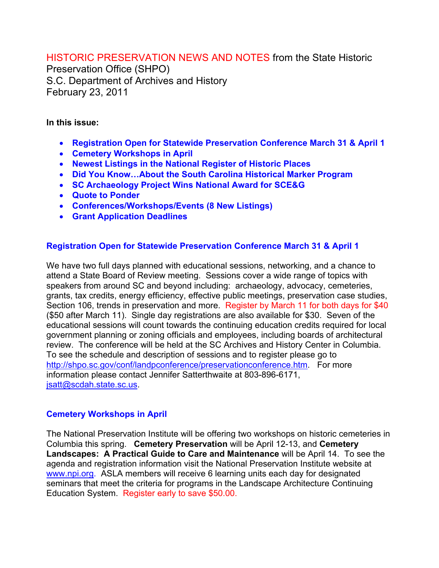HISTORIC PRESERVATION NEWS AND NOTES from the State Historic

Preservation Office (SHPO) S.C. Department of Archives and History February 23, 2011

### **In this issue:**

- **Registration Open for Statewide Preservation Conference March 31 & April 1**
- **Cemetery Workshops in April**
- **Newest Listings in the National Register of Historic Places**
- **Did You Know…About the South Carolina Historical Marker Program**
- **SC Archaeology Project Wins National Award for SCE&G**
- **Quote to Ponder**
- **Conferences/Workshops/Events (8 New Listings)**
- **Grant Application Deadlines**

## **Registration Open for Statewide Preservation Conference March 31 & April 1**

We have two full days planned with educational sessions, networking, and a chance to attend a State Board of Review meeting. Sessions cover a wide range of topics with speakers from around SC and beyond including: archaeology, advocacy, cemeteries, grants, tax credits, energy efficiency, effective public meetings, preservation case studies, Section 106, trends in preservation and more. Register by March 11 for both days for \$40 (\$50 after March 11). Single day registrations are also available for \$30. Seven of the educational sessions will count towards the continuing education credits required for local government planning or zoning officials and employees, including boards of architectural review. The conference will be held at the SC Archives and History Center in Columbia. To see the schedule and description of sessions and to register please go to http://shpo.sc.gov/conf/landpconference/preservationconference.htm. For more information please contact Jennifer Satterthwaite at 803-896-6171, jsatt@scdah.state.sc.us.

# **Cemetery Workshops in April**

The National Preservation Institute will be offering two workshops on historic cemeteries in Columbia this spring. **Cemetery Preservation** will be April 12-13, and **Cemetery Landscapes: A Practical Guide to Care and Maintenance** will be April 14. To see the agenda and registration information visit the National Preservation Institute website at www.npi.org. ASLA members will receive 6 learning units each day for designated seminars that meet the criteria for programs in the Landscape Architecture Continuing Education System. Register early to save \$50.00.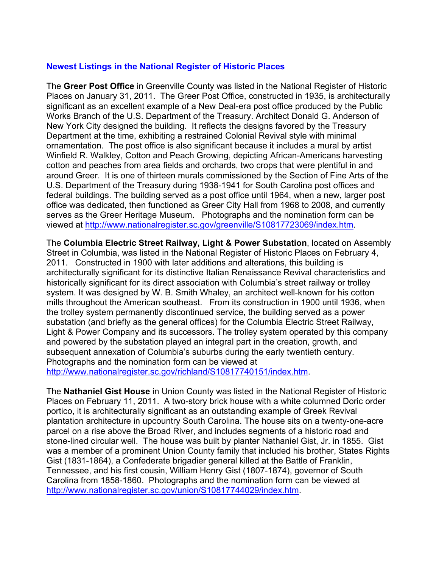## **Newest Listings in the National Register of Historic Places**

The **Greer Post Office** in Greenville County was listed in the National Register of Historic Places on January 31, 2011. The Greer Post Office, constructed in 1935, is architecturally significant as an excellent example of a New Deal-era post office produced by the Public Works Branch of the U.S. Department of the Treasury. Architect Donald G. Anderson of New York City designed the building. It reflects the designs favored by the Treasury Department at the time, exhibiting a restrained Colonial Revival style with minimal ornamentation. The post office is also significant because it includes a mural by artist Winfield R. Walkley, Cotton and Peach Growing, depicting African-Americans harvesting cotton and peaches from area fields and orchards, two crops that were plentiful in and around Greer. It is one of thirteen murals commissioned by the Section of Fine Arts of the U.S. Department of the Treasury during 1938-1941 for South Carolina post offices and federal buildings. The building served as a post office until 1964, when a new, larger post office was dedicated, then functioned as Greer City Hall from 1968 to 2008, and currently serves as the Greer Heritage Museum. Photographs and the nomination form can be viewed at http://www.nationalregister.sc.gov/greenville/S10817723069/index.htm.

The **Columbia Electric Street Railway, Light & Power Substation**, located on Assembly Street in Columbia, was listed in the National Register of Historic Places on February 4, 2011. Constructed in 1900 with later additions and alterations, this building is architecturally significant for its distinctive Italian Renaissance Revival characteristics and historically significant for its direct association with Columbia's street railway or trolley system. It was designed by W. B. Smith Whaley, an architect well-known for his cotton mills throughout the American southeast. From its construction in 1900 until 1936, when the trolley system permanently discontinued service, the building served as a power substation (and briefly as the general offices) for the Columbia Electric Street Railway, Light & Power Company and its successors. The trolley system operated by this company and powered by the substation played an integral part in the creation, growth, and subsequent annexation of Columbia's suburbs during the early twentieth century. Photographs and the nomination form can be viewed at http://www.nationalregister.sc.gov/richland/S10817740151/index.htm.

The **Nathaniel Gist House** in Union County was listed in the National Register of Historic Places on February 11, 2011. A two-story brick house with a white columned Doric order portico, it is architecturally significant as an outstanding example of Greek Revival plantation architecture in upcountry South Carolina. The house sits on a twenty-one-acre parcel on a rise above the Broad River, and includes segments of a historic road and stone-lined circular well. The house was built by planter Nathaniel Gist, Jr. in 1855. Gist was a member of a prominent Union County family that included his brother, States Rights Gist (1831-1864), a Confederate brigadier general killed at the Battle of Franklin, Tennessee, and his first cousin, William Henry Gist (1807-1874), governor of South Carolina from 1858-1860. Photographs and the nomination form can be viewed at http://www.nationalregister.sc.gov/union/S10817744029/index.htm.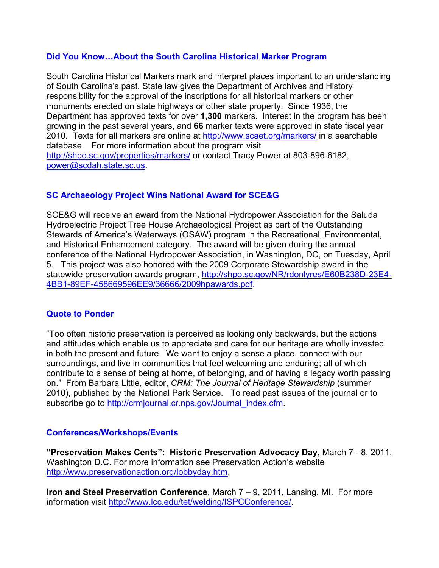## **Did You Know…About the South Carolina Historical Marker Program**

South Carolina Historical Markers mark and interpret places important to an understanding of South Carolina's past. State law gives the Department of Archives and History responsibility for the approval of the inscriptions for all historical markers or other monuments erected on state highways or other state property. Since 1936, the Department has approved texts for over **1,300** markers. Interest in the program has been growing in the past several years, and **66** marker texts were approved in state fiscal year 2010. Texts for all markers are online at http://www.scaet.org/markers/ in a searchable database. For more information about the program visit http://shpo.sc.gov/properties/markers/ or contact Tracy Power at 803-896-6182, power@scdah.state.sc.us.

# **SC Archaeology Project Wins National Award for SCE&G**

SCE&G will receive an award from the National Hydropower Association for the Saluda Hydroelectric Project Tree House Archaeological Project as part of the Outstanding Stewards of America's Waterways (OSAW) program in the Recreational, Environmental, and Historical Enhancement category. The award will be given during the annual conference of the National Hydropower Association, in Washington, DC, on Tuesday, April 5. This project was also honored with the 2009 Corporate Stewardship award in the statewide preservation awards program, http://shpo.sc.gov/NR/rdonlyres/E60B238D-23E4-4BB1-89EF-458669596EE9/36666/2009hpawards.pdf.

#### **Quote to Ponder**

"Too often historic preservation is perceived as looking only backwards, but the actions and attitudes which enable us to appreciate and care for our heritage are wholly invested in both the present and future. We want to enjoy a sense a place, connect with our surroundings, and live in communities that feel welcoming and enduring; all of which contribute to a sense of being at home, of belonging, and of having a legacy worth passing on." From Barbara Little, editor, *CRM: The Journal of Heritage Stewardship* (summer 2010), published by the National Park Service. To read past issues of the journal or to subscribe go to http://crmjournal.cr.nps.gov/Journal\_index.cfm.

#### **Conferences/Workshops/Events**

**"Preservation Makes Cents": Historic Preservation Advocacy Day**, March 7 - 8, 2011, Washington D.C. For more information see Preservation Action's website http://www.preservationaction.org/lobbyday.htm.

**Iron and Steel Preservation Conference**, March 7 – 9, 2011, Lansing, MI. For more information visit http://www.lcc.edu/tet/welding/ISPCConference/.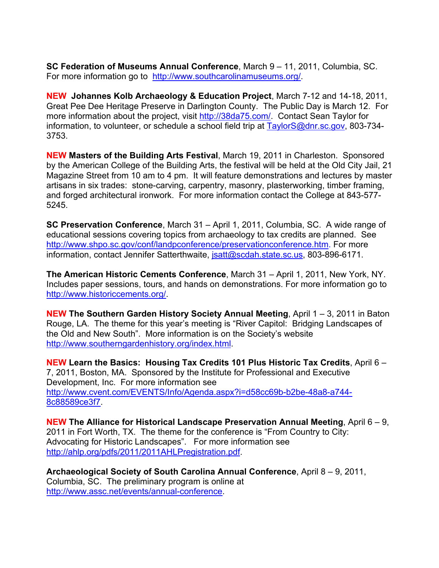**SC Federation of Museums Annual Conference**, March 9 – 11, 2011, Columbia, SC. For more information go to http://www.southcarolinamuseums.org/.

**NEW Johannes Kolb Archaeology & Education Project**, March 7-12 and 14-18, 2011, Great Pee Dee Heritage Preserve in Darlington County. The Public Day is March 12. For more information about the project, visit http://38da75.com/. Contact Sean Taylor for information, to volunteer, or schedule a school field trip at  $Taylor\&Qdnrsc.gov$ , 803-734-3753.

**NEW Masters of the Building Arts Festival**, March 19, 2011 in Charleston. Sponsored by the American College of the Building Arts, the festival will be held at the Old City Jail, 21 Magazine Street from 10 am to 4 pm. It will feature demonstrations and lectures by master artisans in six trades: stone-carving, carpentry, masonry, plasterworking, timber framing, and forged architectural ironwork. For more information contact the College at 843-577- 5245.

**SC Preservation Conference**, March 31 – April 1, 2011, Columbia, SC. A wide range of educational sessions covering topics from archaeology to tax credits are planned. See http://www.shpo.sc.gov/conf/landpconference/preservationconference.htm. For more information, contact Jennifer Satterthwaite, jsatt@scdah.state.sc.us, 803-896-6171.

**The American Historic Cements Conference**, March 31 – April 1, 2011, New York, NY. Includes paper sessions, tours, and hands on demonstrations. For more information go to http://www.historiccements.org/.

**NEW The Southern Garden History Society Annual Meeting**, April 1 – 3, 2011 in Baton Rouge, LA. The theme for this year's meeting is "River Capitol: Bridging Landscapes of the Old and New South". More information is on the Society's website http://www.southerngardenhistory.org/index.html.

**NEW Learn the Basics: Housing Tax Credits 101 Plus Historic Tax Credits**, April 6 – 7, 2011, Boston, MA. Sponsored by the Institute for Professional and Executive Development, Inc. For more information see http://www.cvent.com/EVENTS/Info/Agenda.aspx?i=d58cc69b-b2be-48a8-a744- 8c88589ce3f7.

**NEW The Alliance for Historical Landscape Preservation Annual Meeting**, April 6 – 9, 2011 in Fort Worth, TX. The theme for the conference is "From Country to City: Advocating for Historic Landscapes". For more information see http://ahlp.org/pdfs/2011/2011AHLPregistration.pdf.

**Archaeological Society of South Carolina Annual Conference**, April 8 – 9, 2011, Columbia, SC. The preliminary program is online at http://www.assc.net/events/annual-conference.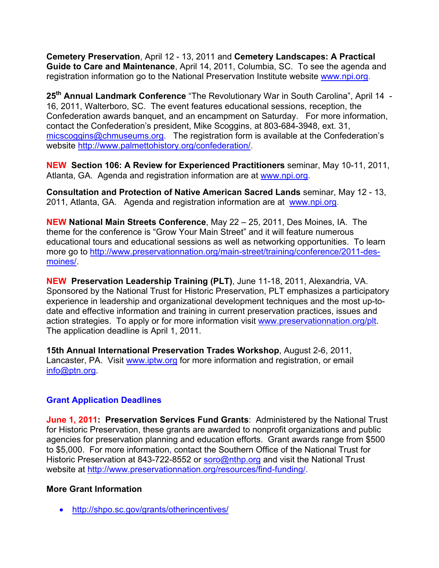**Cemetery Preservation**, April 12 - 13, 2011 and **Cemetery Landscapes: A Practical Guide to Care and Maintenance**, April 14, 2011, Columbia, SC.To see the agenda and registration information go to the National Preservation Institute website www.npi.org.

**25th Annual Landmark Conference** "The Revolutionary War in South Carolina", April 14 - 16, 2011, Walterboro, SC. The event features educational sessions, reception, the Confederation awards banquet, and an encampment on Saturday. For more information, contact the Confederation's president, Mike Scoggins, at 803-684-3948, ext. 31, micscoggins@chmuseums.org. The registration form is available at the Confederation's website http://www.palmettohistory.org/confederation/.

**NEW Section 106: A Review for Experienced Practitioners** seminar, May 10-11, 2011, Atlanta, GA. Agenda and registration information are at www.npi.org.

**Consultation and Protection of Native American Sacred Lands** seminar, May 12 - 13, 2011, Atlanta, GA. Agenda and registration information are at www.npi.org.

**NEW National Main Streets Conference**, May 22 – 25, 2011, Des Moines, IA. The theme for the conference is "Grow Your Main Street" and it will feature numerous educational tours and educational sessions as well as networking opportunities. To learn more go to http://www.preservationnation.org/main-street/training/conference/2011-desmoines/.

**NEW Preservation Leadership Training (PLT)**, June 11-18, 2011, Alexandria, VA. Sponsored by the National Trust for Historic Preservation, PLT emphasizes a participatory experience in leadership and organizational development techniques and the most up-todate and effective information and training in current preservation practices, issues and action strategies. To apply or for more information visit www.preservationnation.org/plt. The application deadline is April 1, 2011.

**15th Annual International Preservation Trades Workshop**, August 2-6, 2011, Lancaster, PA. Visit www.iptw.org for more information and registration, or email info@ptn.org.

# **Grant Application Deadlines**

**June 1, 2011: Preservation Services Fund Grants**: Administered by the National Trust for Historic Preservation, these grants are awarded to nonprofit organizations and public agencies for preservation planning and education efforts. Grant awards range from \$500 to \$5,000. For more information, contact the Southern Office of the National Trust for Historic Preservation at 843-722-8552 or soro@nthp.org and visit the National Trust website at http://www.preservationnation.org/resources/find-funding/.

#### **More Grant Information**

• http://shpo.sc.gov/grants/otherincentives/